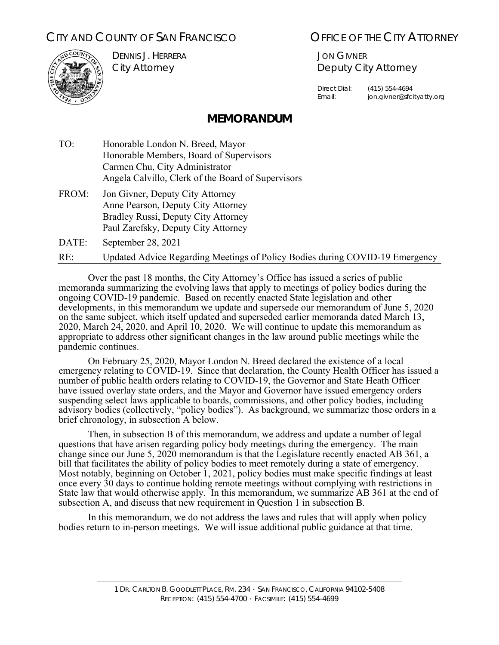# CITY AND COUNTY OF SAN FRANCISCO **OFFICE OF THE CITY ATTORNEY**



DENNIS J. HERRERA City Attorney

JON GIVNER Deputy City Attorney

Direct Dial: (415) 554-4694 Email: jon.givner@sfcityatty.org

# **MEMORANDUM**

- TO: Honorable London N. Breed, Mayor Honorable Members, Board of Supervisors Carmen Chu, City Administrator Angela Calvillo, Clerk of the Board of Supervisors
- FROM: Jon Givner, Deputy City Attorney Anne Pearson, Deputy City Attorney Bradley Russi, Deputy City Attorney Paul Zarefsky, Deputy City Attorney

DATE: September 28, 2021

RE: Updated Advice Regarding Meetings of Policy Bodies during COVID-19 Emergency

 Over the past 18 months, the City Attorney's Office has issued a series of public memoranda summarizing the evolving laws that apply to meetings of policy bodies during the ongoing COVID-19 pandemic. Based on recently enacted State legislation and other developments, in this memorandum we update and supersede our memorandum of June 5, 2020 on the same subject, which itself updated and superseded earlier memoranda dated March 13, 2020, March 24, 2020, and April 10, 2020. We will continue to update this memorandum as appropriate to address other significant changes in the law around public meetings while the pandemic continues.

 On February 25, 2020, Mayor London N. Breed declared the existence of a local emergency relating to COVID-19. Since that declaration, the County Health Officer has issued a number of public health orders relating to COVID-19, the Governor and State Heath Officer have issued overlay state orders, and the Mayor and Governor have issued emergency orders suspending select laws applicable to boards, commissions, and other policy bodies, including advisory bodies (collectively, "policy bodies"). As background, we summarize those orders in a brief chronology, in subsection A below.

 Then, in subsection B of this memorandum, we address and update a number of legal questions that have arisen regarding policy body meetings during the emergency. The main change since our June 5, 2020 memorandum is that the Legislature recently enacted AB 361, a bill that facilitates the ability of policy bodies to meet remotely during a state of emergency. Most notably, beginning on October 1, 2021, policy bodies must make specific findings at least once every 30 days to continue holding remote meetings without complying with restrictions in State law that would otherwise apply. In this memorandum, we summarize AB 361 at the end of subsection A, and discuss that new requirement in Question 1 in subsection B.

 In this memorandum, we do not address the laws and rules that will apply when policy bodies return to in-person meetings. We will issue additional public guidance at that time.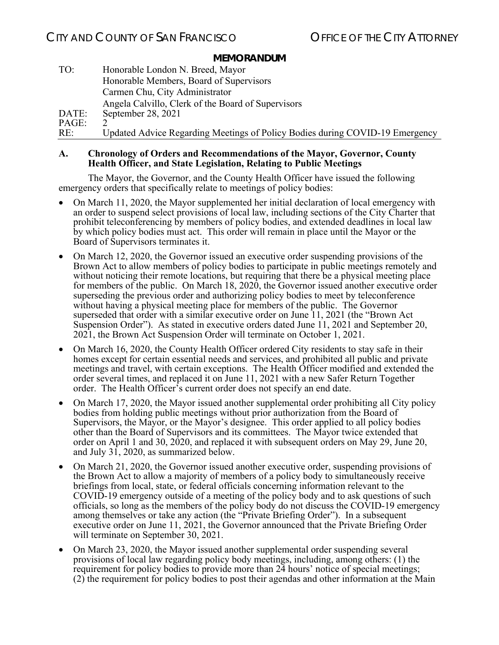| TO:   | Honorable London N. Breed, Mayor                                             |
|-------|------------------------------------------------------------------------------|
|       | Honorable Members, Board of Supervisors                                      |
|       | Carmen Chu, City Administrator                                               |
|       | Angela Calvillo, Clerk of the Board of Supervisors                           |
| DATE: | September 28, 2021                                                           |
| PAGE: |                                                                              |
| RE:   | Updated Advice Regarding Meetings of Policy Bodies during COVID-19 Emergency |

### **A. Chronology of Orders and Recommendations of the Mayor, Governor, County Health Officer, and State Legislation, Relating to Public Meetings**

The Mayor, the Governor, and the County Health Officer have issued the following emergency orders that specifically relate to meetings of policy bodies:

- On March 11, 2020, the Mayor supplemented her initial declaration of local emergency with an order to suspend select provisions of local law, including sections of the City Charter that prohibit teleconferencing by members of policy bodies, and extended deadlines in local law by which policy bodies must act. This order will remain in place until the Mayor or the Board of Supervisors terminates it.
- On March 12, 2020, the Governor issued an executive order suspending provisions of the Brown Act to allow members of policy bodies to participate in public meetings remotely and without noticing their remote locations, but requiring that there be a physical meeting place for members of the public. On March 18, 2020, the Governor issued another executive order superseding the previous order and authorizing policy bodies to meet by teleconference without having a physical meeting place for members of the public. The Governor superseded that order with a similar executive order on June 11, 2021 (the "Brown Act Suspension Order"). As stated in executive orders dated June 11, 2021 and September 20, 2021, the Brown Act Suspension Order will terminate on October 1, 2021.
- On March 16, 2020, the County Health Officer ordered City residents to stay safe in their homes except for certain essential needs and services, and prohibited all public and private meetings and travel, with certain exceptions. The Health Officer modified and extended the order several times, and replaced it on June 11, 2021 with a new Safer Return Together order. The Health Officer's current order does not specify an end date.
- On March 17, 2020, the Mayor issued another supplemental order prohibiting all City policy bodies from holding public meetings without prior authorization from the Board of Supervisors, the Mayor, or the Mayor's designee. This order applied to all policy bodies other than the Board of Supervisors and its committees. The Mayor twice extended that order on April 1 and 30, 2020, and replaced it with subsequent orders on May 29, June 20, and July  $3\overline{1}$ , 2020, as summarized below.
- On March 21, 2020, the Governor issued another executive order, suspending provisions of the Brown Act to allow a majority of members of a policy body to simultaneously receive briefings from local, state, or federal officials concerning information relevant to the COVID-19 emergency outside of a meeting of the policy body and to ask questions of such officials, so long as the members of the policy body do not discuss the COVID-19 emergency among themselves or take any action (the "Private Briefing Order"). In a subsequent executive order on June 11, 2021, the Governor announced that the Private Briefing Order will terminate on September 30, 2021.
- On March 23, 2020, the Mayor issued another supplemental order suspending several provisions of local law regarding policy body meetings, including, among others: (1) the requirement for policy bodies to provide more than 24 hours' notice of special meetings; (2) the requirement for policy bodies to post their agendas and other information at the Main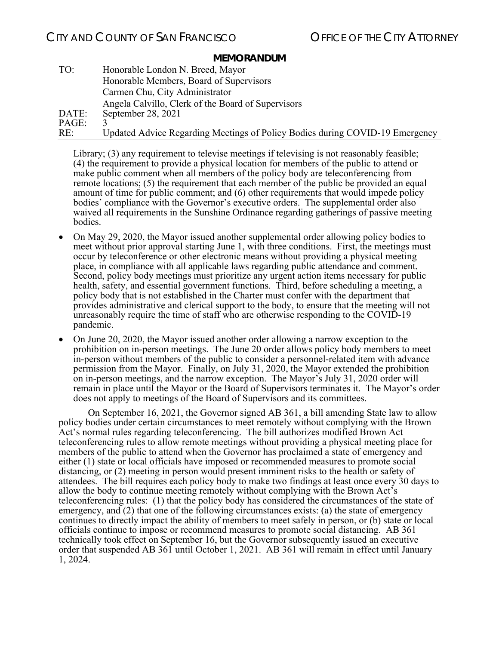# CITY AND COUNTY OF SAN FRANCISCO **COUNTY OF SAN FRANCISCO OF THE CITY ATTORNEY**

#### **MEMORANDUM**

| TO:   | Honorable London N. Breed, Mayor                                             |
|-------|------------------------------------------------------------------------------|
|       | Honorable Members, Board of Supervisors                                      |
|       | Carmen Chu, City Administrator                                               |
|       | Angela Calvillo, Clerk of the Board of Supervisors                           |
| DATE: | September 28, 2021                                                           |
| PAGE: |                                                                              |
| RE:   | Updated Advice Regarding Meetings of Policy Bodies during COVID-19 Emergency |

Library; (3) any requirement to televise meetings if televising is not reasonably feasible; (4) the requirement to provide a physical location for members of the public to attend or make public comment when all members of the policy body are teleconferencing from remote locations; (5) the requirement that each member of the public be provided an equal amount of time for public comment; and (6) other requirements that would impede policy bodies' compliance with the Governor's executive orders. The supplemental order also waived all requirements in the Sunshine Ordinance regarding gatherings of passive meeting bodies.

- On May 29, 2020, the Mayor issued another supplemental order allowing policy bodies to meet without prior approval starting June 1, with three conditions. First, the meetings must occur by teleconference or other electronic means without providing a physical meeting place, in compliance with all applicable laws regarding public attendance and comment. Second, policy body meetings must prioritize any urgent action items necessary for public health, safety, and essential government functions. Third, before scheduling a meeting, a policy body that is not established in the Charter must confer with the department that provides administrative and clerical support to the body, to ensure that the meeting will not unreasonably require the time of staff who are otherwise responding to the COVID-19 pandemic.
- On June 20, 2020, the Mayor issued another order allowing a narrow exception to the prohibition on in-person meetings. The June 20 order allows policy body members to meet in-person without members of the public to consider a personnel-related item with advance permission from the Mayor. Finally, on July 31, 2020, the Mayor extended the prohibition on in-person meetings, and the narrow exception. The Mayor's July 31, 2020 order will remain in place until the Mayor or the Board of Supervisors terminates it. The Mayor's order does not apply to meetings of the Board of Supervisors and its committees.

On September 16, 2021, the Governor signed AB 361, a bill amending State law to allow policy bodies under certain circumstances to meet remotely without complying with the Brown Act's normal rules regarding teleconferencing. The bill authorizes modified Brown Act teleconferencing rules to allow remote meetings without providing a physical meeting place for members of the public to attend when the Governor has proclaimed a state of emergency and either (1) state or local officials have imposed or recommended measures to promote social distancing, or (2) meeting in person would present imminent risks to the health or safety of attendees. The bill requires each policy body to make two findings at least once every 30 days to allow the body to continue meeting remotely without complying with the Brown Act's teleconferencing rules: (1) that the policy body has considered the circumstances of the state of emergency, and (2) that one of the following circumstances exists: (a) the state of emergency continues to directly impact the ability of members to meet safely in person, or (b) state or local officials continue to impose or recommend measures to promote social distancing. AB 361 technically took effect on September 16, but the Governor subsequently issued an executive order that suspended AB 361 until October 1, 2021. AB 361 will remain in effect until January 1, 2024.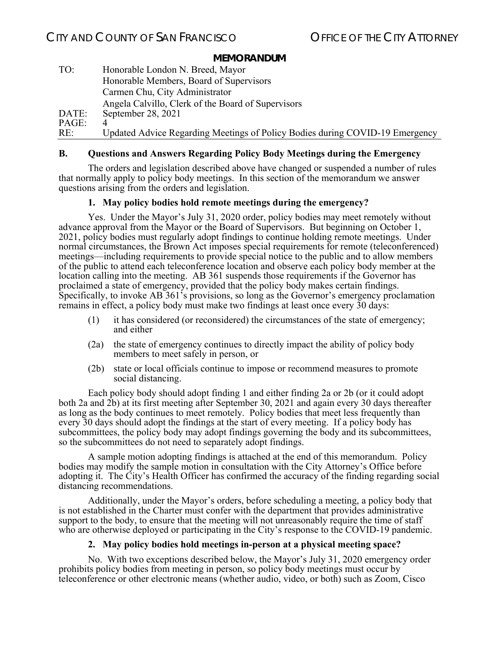| TO:   | Honorable London N. Breed, Mayor                                             |
|-------|------------------------------------------------------------------------------|
|       | Honorable Members, Board of Supervisors                                      |
|       | Carmen Chu, City Administrator                                               |
|       | Angela Calvillo, Clerk of the Board of Supervisors                           |
| DATE: | September 28, 2021                                                           |
| PAGE: |                                                                              |
| RE:   | Updated Advice Regarding Meetings of Policy Bodies during COVID-19 Emergency |

# **B. Questions and Answers Regarding Policy Body Meetings during the Emergency**

 The orders and legislation described above have changed or suspended a number of rules that normally apply to policy body meetings. In this section of the memorandum we answer questions arising from the orders and legislation.

# **1. May policy bodies hold remote meetings during the emergency?**

 Yes. Under the Mayor's July 31, 2020 order, policy bodies may meet remotely without advance approval from the Mayor or the Board of Supervisors. But beginning on October 1, 2021, policy bodies must regularly adopt findings to continue holding remote meetings. Under normal circumstances, the Brown Act imposes special requirements for remote (teleconferenced) meetings—including requirements to provide special notice to the public and to allow members of the public to attend each teleconference location and observe each policy body member at the location calling into the meeting. AB 361 suspends those requirements if the Governor has proclaimed a state of emergency, provided that the policy body makes certain findings. Specifically, to invoke AB 361's provisions, so long as the Governor's emergency proclamation remains in effect, a policy body must make two findings at least once every 30 days:

- (1) it has considered (or reconsidered) the circumstances of the state of emergency; and either
- (2a) the state of emergency continues to directly impact the ability of policy body members to meet safely in person, or
- (2b) state or local officials continue to impose or recommend measures to promote social distancing.

 Each policy body should adopt finding 1 and either finding 2a or 2b (or it could adopt both 2a and 2b) at its first meeting after September 30, 2021 and again every 30 days thereafter as long as the body continues to meet remotely. Policy bodies that meet less frequently than every 30 days should adopt the findings at the start of every meeting. If a policy body has subcommittees, the policy body may adopt findings governing the body and its subcommittees, so the subcommittees do not need to separately adopt findings.

 A sample motion adopting findings is attached at the end of this memorandum. Policy bodies may modify the sample motion in consultation with the City Attorney's Office before adopting it. The City's Health Officer has confirmed the accuracy of the finding regarding social distancing recommendations.

 Additionally, under the Mayor's orders, before scheduling a meeting, a policy body that is not established in the Charter must confer with the department that provides administrative support to the body, to ensure that the meeting will not unreasonably require the time of staff who are otherwise deployed or participating in the City's response to the COVID-19 pandemic.

# **2. May policy bodies hold meetings in-person at a physical meeting space?**

 No. With two exceptions described below, the Mayor's July 31, 2020 emergency order prohibits policy bodies from meeting in person, so policy body meetings must occur by teleconference or other electronic means (whether audio, video, or both) such as Zoom, Cisco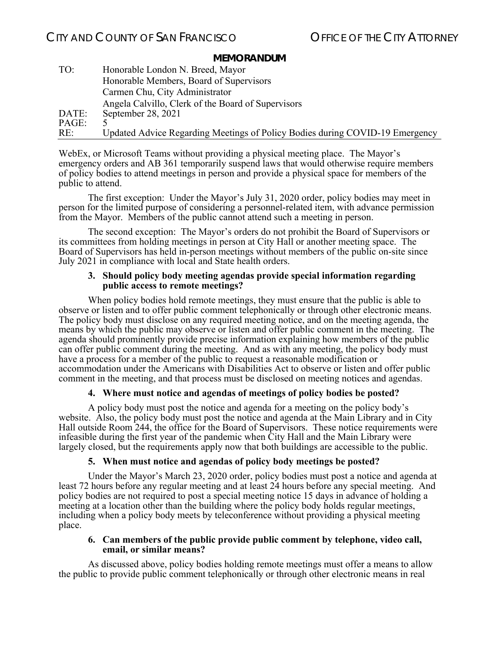| TO:   | Honorable London N. Breed, Mayor                                             |
|-------|------------------------------------------------------------------------------|
|       | Honorable Members, Board of Supervisors                                      |
|       | Carmen Chu, City Administrator                                               |
|       | Angela Calvillo, Clerk of the Board of Supervisors                           |
| DATE: | September 28, 2021                                                           |
| PAGE: |                                                                              |
| RE:   | Updated Advice Regarding Meetings of Policy Bodies during COVID-19 Emergency |

WebEx, or Microsoft Teams without providing a physical meeting place. The Mayor's emergency orders and AB 361 temporarily suspend laws that would otherwise require members of policy bodies to attend meetings in person and provide a physical space for members of the public to attend.

The first exception: Under the Mayor's July 31, 2020 order, policy bodies may meet in person for the limited purpose of considering a personnel-related item, with advance permission from the Mayor. Members of the public cannot attend such a meeting in person.

The second exception: The Mayor's orders do not prohibit the Board of Supervisors or its committees from holding meetings in person at City Hall or another meeting space. The Board of Supervisors has held in-person meetings without members of the public on-site since July 2021 in compliance with local and State health orders.

#### **3. Should policy body meeting agendas provide special information regarding public access to remote meetings?**

When policy bodies hold remote meetings, they must ensure that the public is able to observe or listen and to offer public comment telephonically or through other electronic means. The policy body must disclose on any required meeting notice, and on the meeting agenda, the means by which the public may observe or listen and offer public comment in the meeting. The agenda should prominently provide precise information explaining how members of the public can offer public comment during the meeting. And as with any meeting, the policy body must have a process for a member of the public to request a reasonable modification or accommodation under the Americans with Disabilities Act to observe or listen and offer public comment in the meeting, and that process must be disclosed on meeting notices and agendas.

# **4. Where must notice and agendas of meetings of policy bodies be posted?**

A policy body must post the notice and agenda for a meeting on the policy body's website. Also, the policy body must post the notice and agenda at the Main Library and in City Hall outside Room 244, the office for the Board of Supervisors. These notice requirements were infeasible during the first year of the pandemic when City Hall and the Main Library were largely closed, but the requirements apply now that both buildings are accessible to the public.

# **5. When must notice and agendas of policy body meetings be posted?**

Under the Mayor's March 23, 2020 order, policy bodies must post a notice and agenda at least 72 hours before any regular meeting and at least 24 hours before any special meeting. And policy bodies are not required to post a special meeting notice 15 days in advance of holding a meeting at a location other than the building where the policy body holds regular meetings, including when a policy body meets by teleconference without providing a physical meeting place.

#### **6. Can members of the public provide public comment by telephone, video call, email, or similar means?**

As discussed above, policy bodies holding remote meetings must offer a means to allow the public to provide public comment telephonically or through other electronic means in real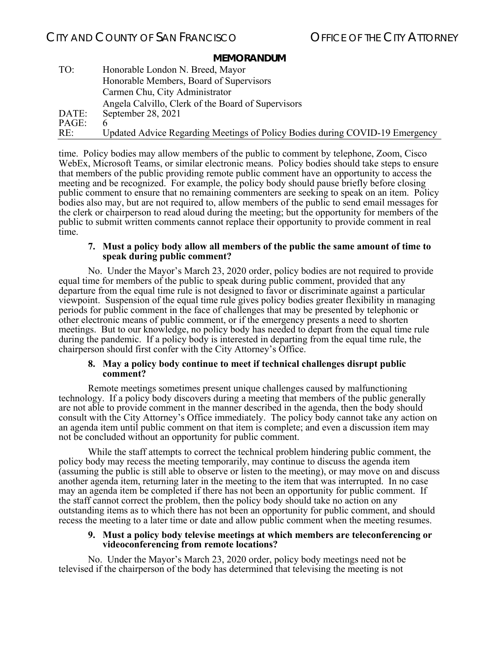| TO:   | Honorable London N. Breed, Mayor                                             |
|-------|------------------------------------------------------------------------------|
|       | Honorable Members, Board of Supervisors                                      |
|       | Carmen Chu, City Administrator                                               |
|       | Angela Calvillo, Clerk of the Board of Supervisors                           |
| DATE: | September 28, 2021                                                           |
| PAGE: |                                                                              |
| RE:   | Updated Advice Regarding Meetings of Policy Bodies during COVID-19 Emergency |

time. Policy bodies may allow members of the public to comment by telephone, Zoom, Cisco WebEx, Microsoft Teams, or similar electronic means. Policy bodies should take steps to ensure that members of the public providing remote public comment have an opportunity to access the meeting and be recognized. For example, the policy body should pause briefly before closing public comment to ensure that no remaining commenters are seeking to speak on an item. Policy bodies also may, but are not required to, allow members of the public to send email messages for the clerk or chairperson to read aloud during the meeting; but the opportunity for members of the public to submit written comments cannot replace their opportunity to provide comment in real time.

#### **7. Must a policy body allow all members of the public the same amount of time to speak during public comment?**

No. Under the Mayor's March 23, 2020 order, policy bodies are not required to provide equal time for members of the public to speak during public comment, provided that any departure from the equal time rule is not designed to favor or discriminate against a particular viewpoint. Suspension of the equal time rule gives policy bodies greater flexibility in managing periods for public comment in the face of challenges that may be presented by telephonic or other electronic means of public comment, or if the emergency presents a need to shorten meetings. But to our knowledge, no policy body has needed to depart from the equal time rule during the pandemic. If a policy body is interested in departing from the equal time rule, the chairperson should first confer with the City Attorney's Office.

#### **8. May a policy body continue to meet if technical challenges disrupt public comment?**

 Remote meetings sometimes present unique challenges caused by malfunctioning technology. If a policy body discovers during a meeting that members of the public generally are not able to provide comment in the manner described in the agenda, then the body should consult with the City Attorney's Office immediately. The policy body cannot take any action on an agenda item until public comment on that item is complete; and even a discussion item may not be concluded without an opportunity for public comment.

 While the staff attempts to correct the technical problem hindering public comment, the policy body may recess the meeting temporarily, may continue to discuss the agenda item (assuming the public is still able to observe or listen to the meeting), or may move on and discuss another agenda item, returning later in the meeting to the item that was interrupted. In no case may an agenda item be completed if there has not been an opportunity for public comment. If the staff cannot correct the problem, then the policy body should take no action on any outstanding items as to which there has not been an opportunity for public comment, and should recess the meeting to a later time or date and allow public comment when the meeting resumes.

#### **9. Must a policy body televise meetings at which members are teleconferencing or videoconferencing from remote locations?**

 No. Under the Mayor's March 23, 2020 order, policy body meetings need not be televised if the chairperson of the body has determined that televising the meeting is not